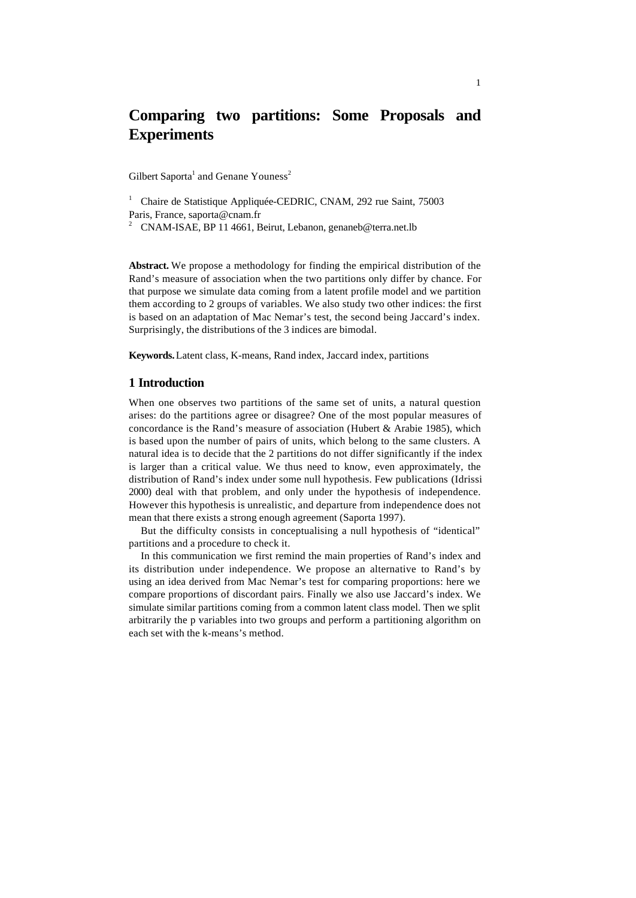# **Comparing two partitions: Some Proposals and Experiments**

Gilbert Saporta<sup>1</sup> and Genane Youness<sup>2</sup>

<sup>1</sup> Chaire de Statistique Appliquée-CEDRIC, CNAM, 292 rue Saint, 75003 Paris, France, saporta@cnam.fr

<sup>2</sup> CNAM-ISAE, BP 11 4661, Beirut, Lebanon, genaneb@terra.net.lb

**Abstract.** We propose a methodology for finding the empirical distribution of the Rand's measure of association when the two partitions only differ by chance. For that purpose we simulate data coming from a latent profile model and we partition them according to 2 groups of variables. We also study two other indices: the first is based on an adaptation of Mac Nemar's test, the second being Jaccard's index. Surprisingly, the distributions of the 3 indices are bimodal.

**Keywords.** Latent class, K-means, Rand index, Jaccard index, partitions

## **1 Introduction**

When one observes two partitions of the same set of units, a natural question arises: do the partitions agree or disagree? One of the most popular measures of concordance is the Rand's measure of association (Hubert & Arabie 1985), which is based upon the number of pairs of units, which belong to the same clusters. A natural idea is to decide that the 2 partitions do not differ significantly if the index is larger than a critical value. We thus need to know, even approximately, the distribution of Rand's index under some null hypothesis. Few publications (Idrissi 2000) deal with that problem, and only under the hypothesis of independence. However this hypothesis is unrealistic, and departure from independence does not mean that there exists a strong enough agreement (Saporta 1997).

But the difficulty consists in conceptualising a null hypothesis of "identical" partitions and a procedure to check it.

In this communication we first remind the main properties of Rand's index and its distribution under independence. We propose an alternative to Rand's by using an idea derived from Mac Nemar's test for comparing proportions: here we compare proportions of discordant pairs. Finally we also use Jaccard's index. We simulate similar partitions coming from a common latent class model. Then we split arbitrarily the p variables into two groups and perform a partitioning algorithm on each set with the k-means's method.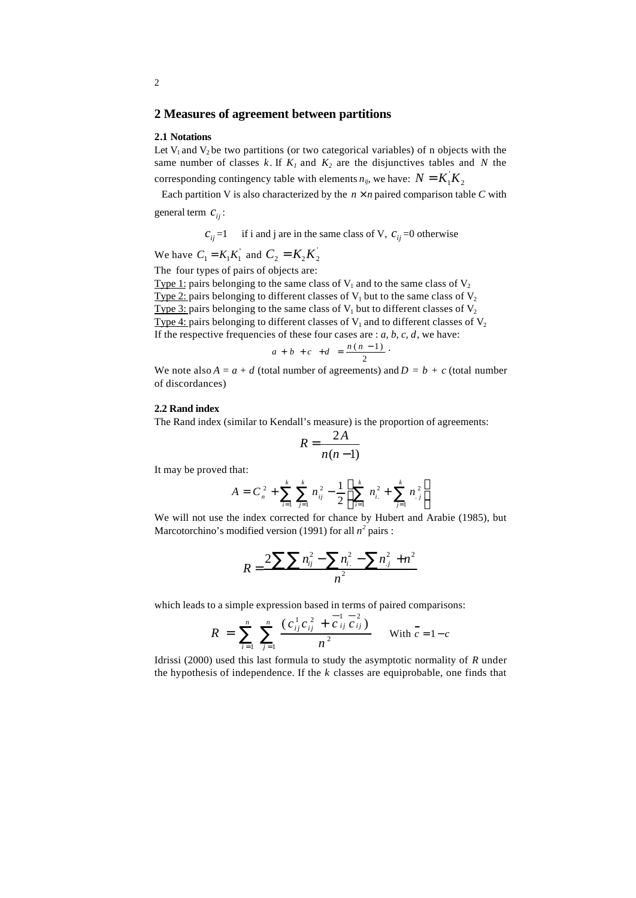## **2 Measures of agreement between partitions**

#### **2.1 Notations**

Let  $V_1$  and  $V_2$  be two partitions (or two categorical variables) of n objects with the same number of classes  $k$ . If  $K_l$  and  $K_2$  are the disjunctives tables and  $N$  the corresponding contingency table with elements  $n_{ij}$ , we have:  $N = K_i K_j$ 

Each partition V is also characterized by the  $n \times n$  paired comparison table C with general term  $c_{ii}$ :

 $c_{ii}$  =1 if i and j are in the same class of V,  $c_{ii}$  =0 otherwise

We have  $C_1 = K_1 K_1'$  and  $C_2 = K_2 K_2'$ 

The four types of pairs of objects are:

Type 1: pairs belonging to the same class of  $V_1$  and to the same class of  $V_2$ Type 2: pairs belonging to different classes of  $V_1$  but to the same class of  $V_2$ Type 3: pairs belonging to the same class of  $V_1$  but to different classes of  $V_2$ Type 4: pairs belonging to different classes of  $V_1$  and to different classes of  $V_2$ If the respective frequencies of these four cases are  $: a, b, c, d$ , we have:

$$
a+b+c+d=\frac{n(n-1)}{2}
$$

We note also  $A = a + d$  (total number of agreements) and  $D = b + c$  (total number of discordances)

## **2.2 Rand index**

The Rand index (similar to Kendall's measure) is the proportion of agreements:

$$
R = \frac{2A}{n(n-1)}
$$

It may be proved that:

$$
A = C_n^2 + \sum_{i=1}^k \sum_{j=1}^k n_{ij}^2 - \frac{1}{2} \left[ \sum_{i=1}^k n_{i}^2 + \sum_{j=1}^k n_{j}^2 \right]
$$

We will not use the index corrected for chance by Hubert and Arabie (1985), but Marcotorchino's modified version (1991) for all  $n^2$  pairs :

$$
R = \frac{2\sum\sum n_{ij}^2 - \sum n_{i.}^2 - \sum n_{j.}^2 + n^2}{n^2}
$$

which leads to a simple expression based in terms of paired comparisons:

$$
R = \sum_{i=1}^{n} \sum_{j=1}^{n} \frac{(c_{ij}^{1} c_{ij}^{2} + \overline{c}_{ij}^{1} c_{ij}^{2})}{n^{2}} \text{ With } \overline{c} = 1 - c
$$

Idrissi (2000) used this last formula to study the asymptotic normality of *R* under the hypothesis of independence. If the *k* classes are equiprobable, one finds that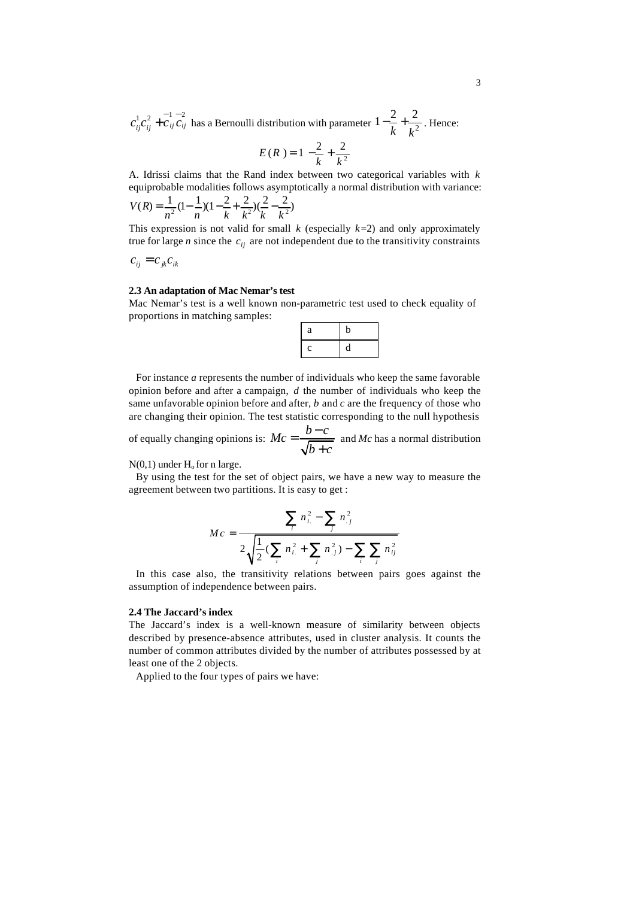$c_{ij}^{1}c_{ij}^{2} + c_{ij}c_{ij}$  has a Bernoulli distribution with parameter  $1 - \frac{2}{k} + \frac{2}{k^{2}}$ *k k*  $-\frac{2}{1}+\frac{2}{12}$ . Hence:

$$
E(R) = 1 - \frac{2}{k} + \frac{2}{k^2}
$$

A. Idrissi claims that the Rand index between two categorical variables with *k* equiprobable modalities follows asymptotically a normal distribution with variance:

$$
V(R) = \frac{1}{n^2} (1 - \frac{1}{n}) (1 - \frac{2}{k} + \frac{2}{k^2}) (\frac{2}{k} - \frac{2}{k^2})
$$

This expression is not valid for small  $k$  (especially  $k=2$ ) and only approximately true for large *n* since the  $c_{ij}$  are not independent due to the transitivity constraints

$$
c_{ij} = c_{jk} c_{ik}
$$

### **2.3 An adaptation of Mac Nemar's test**

Mac Nemar's test is a well known non-parametric test used to check equality of proportions in matching samples:

| a | D |
|---|---|
| c | Π |

For instance *a* represents the number of individuals who keep the same favorable opinion before and after a campaign, *d* the number of individuals who keep the same unfavorable opinion before and after, *b* and *c* are the frequency of those who are changing their opinion. The test statistic corresponding to the null hypothesis

of equally changing opinions is:  $Mc = \frac{b-c}{\sqrt{c}}$  $b + c$  $=\frac{b-}{b}$ + and *Mc* has a normal distribution

 $N(0,1)$  under  $H_0$  for n large.

By using the test for the set of object pairs, we have a new way to measure the agreement between two partitions. It is easy to get :

$$
Mc = \frac{\sum_{i} n_{i.}^{2} - \sum_{j} n_{.j}^{2}}{2\sqrt{\frac{1}{2}(\sum_{i} n_{i.}^{2} + \sum_{j} n_{.j}^{2}) - \sum_{i} \sum_{j} n_{ij}^{2}}}
$$

In this case also, the transitivity relations between pairs goes against the assumption of independence between pairs.

#### **2.4 The Jaccard's index**

The Jaccard's index is a well-known measure of similarity between objects described by presence-absence attributes, used in cluster analysis. It counts the number of common attributes divided by the number of attributes possessed by at least one of the 2 objects.

Applied to the four types of pairs we have: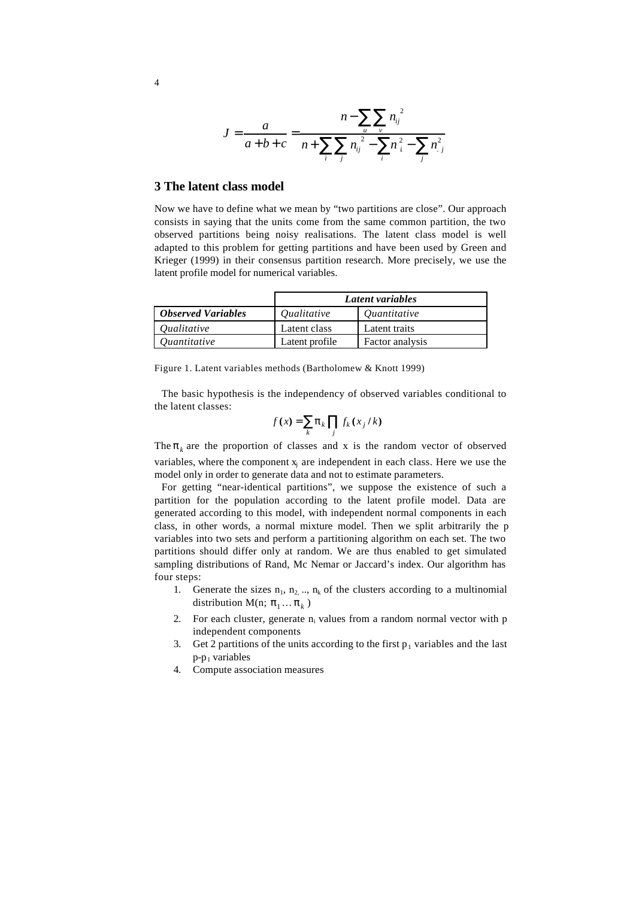$$
J = \frac{a}{a+b+c} = \frac{n - \sum_{i} p_{ij}^{2}}{n + \sum_{i} \sum_{j} n_{ij}^{2} - \sum_{i} n_{i}^{2} - \sum_{j} n_{.j}^{2}}
$$

## **3 The latent class model**

Now we have to define what we mean by "two partitions are close". Our approach consists in saying that the units come from the same common partition, the two observed partitions being noisy realisations. The latent class model is well adapted to this problem for getting partitions and have been used by Green and Krieger (1999) in their consensus partition research. More precisely, we use the latent profile model for numerical variables.

|                            | Latent variables   |                     |  |  |
|----------------------------|--------------------|---------------------|--|--|
| <b>Observed Variables</b>  | <i>Oualitative</i> | <i>Quantitative</i> |  |  |
| <i><u>Oualitative</u></i>  | Latent class       | Latent traits       |  |  |
| <i><u>Ouantitative</u></i> | Latent profile     | Factor analysis     |  |  |

Figure 1. Latent variables methods (Bartholomew & Knott 1999)

The basic hypothesis is the independency of observed variables conditional to the latent classes:

$$
f(x) = \sum_{k} \boldsymbol{p}_{k} \prod_{j} f_{k}(x_{j}/k)
$$

The  $p_k$  are the proportion of classes and x is the random vector of observed variables, where the component  $x_i$  are independent in each class. Here we use the model only in order to generate data and not to estimate parameters.

For getting "near-identical partitions", we suppose the existence of such a partition for the population according to the latent profile model. Data are generated according to this model, with independent normal components in each class, in other words, a normal mixture model. Then we split arbitrarily the p variables into two sets and perform a partitioning algorithm on each set. The two partitions should differ only at random. We are thus enabled to get simulated sampling distributions of Rand, Mc Nemar or Jaccard's index. Our algorithm has four steps:

- 1. Generate the sizes  $n_1$ ,  $n_2$ , ..,  $n_k$  of the clusters according to a multinomial distribution M(n;  $\boldsymbol{p}_1 \dots \boldsymbol{p}_k$ )
- 2. For each cluster, generate  $n_i$  values from a random normal vector with  $p$ independent components
- 3. Get 2 partitions of the units according to the first  $p_1$  variables and the last  $p-p_1$  variables
- 4. Compute association measures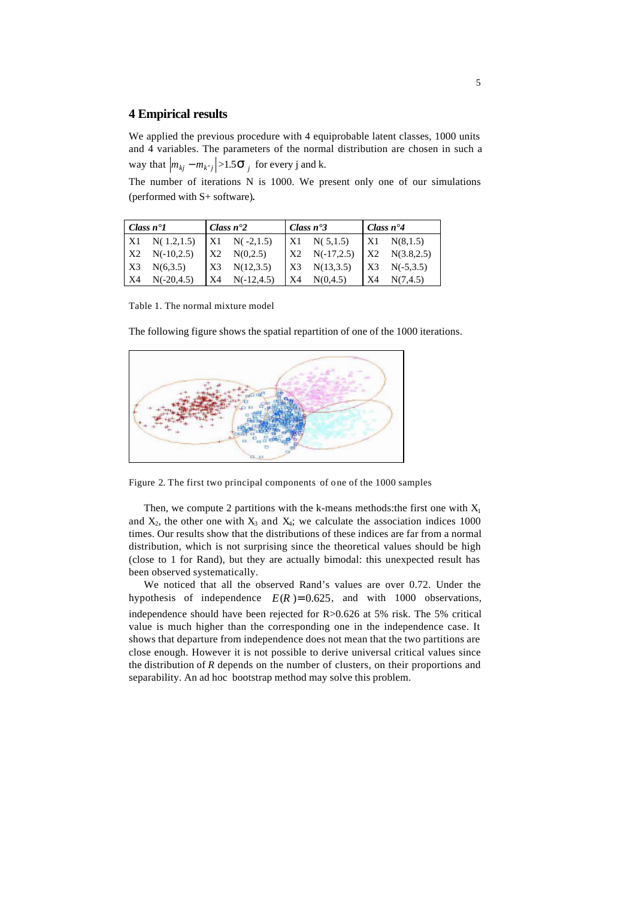# **4 Empirical results**

We applied the previous procedure with 4 equiprobable latent classes, 1000 units and 4 variables. The parameters of the normal distribution are chosen in such a way that  $|m_{kj} - m_{k'j}| > 1.5S_j$  for every j and k.

The number of iterations N is 1000. We present only one of our simulations (performed with S+ software).

| Class $n^{\bullet}1$ |                       | Class $n^2$     |                      | Class $n^{\bullet}3$ |                     | Class $n^{\bullet}4$ |             |
|----------------------|-----------------------|-----------------|----------------------|----------------------|---------------------|----------------------|-------------|
|                      | $X1 \quad N(1.2,1.5)$ |                 | $X1 \quad N(-2,1.5)$ |                      | $X1 \quad N(5,1.5)$ | $\overline{X}$       | N(8,1.5)    |
| X <sub>2</sub>       | $N(-10,2.5)$          | $\overline{X2}$ | N(0,2.5)             | $\mathbf{K}$         | $N(-17,2.5)$        | X2                   | N(3.8, 2.5) |
| X3                   | N(6,3.5)              | X3              | N(12,3.5)            | X3                   | N(13,3.5)           | $\overline{X}$       | $N(-5,3.5)$ |
| X4                   | $N(-20.4.5)$          | X4              | $N(-12.4.5)$         | $\overline{X}$       | N(0.4.5)            | <b>X4</b>            | N(7.4.5)    |

Table 1. The normal mixture model

The following figure shows the spatial repartition of one of the 1000 iterations.



Figure 2. The first two principal components of one of the 1000 samples

Then, we compute 2 partitions with the k-means methods: the first one with  $X_1$ and  $X_2$ , the other one with  $X_3$  and  $X_4$ ; we calculate the association indices 1000 times. Our results show that the distributions of these indices are far from a normal distribution, which is not surprising since the theoretical values should be high (close to 1 for Rand), but they are actually bimodal: this unexpected result has been observed systematically.

We noticed that all the observed Rand's values are over 0.72. Under the hypothesis of independence  $E(R) = 0.625$ , and with 1000 observations, independence should have been rejected for R>0.626 at 5% risk. The 5% critical value is much higher than the corresponding one in the independence case. It shows that departure from independence does not mean that the two partitions are close enough. However it is not possible to derive universal critical values since the distribution of *R* depends on the number of clusters, on their proportions and separability. An ad hoc bootstrap method may solve this problem.